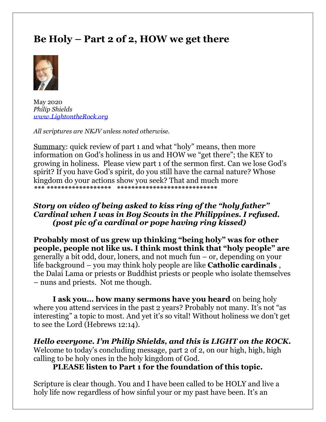# **Be Holy – Part 2 of 2, HOW we get there**



May 2020 *Philip Shields [www.LightontheRock.org](http://www.lightontherock.org/)*

*All scriptures are NKJV unless noted otherwise.* 

Summary: quick review of part 1 and what "holy" means, then more information on God's holiness in us and HOW we "get there"; the KEY to growing in holiness. Please view part 1 of the sermon first. Can we lose God's spirit? If you have God's spirit, do you still have the carnal nature? Whose kingdom do your actions show you seek? That and much more *\*\*\* \*\*\*\*\*\*\*\*\*\*\*\*\*\*\*\*\*\* \*\*\*\*\*\*\*\*\*\*\*\*\*\*\*\*\*\*\*\*\*\*\*\*\*\*\*\**

# *Story on video of being asked to kiss ring of the "holy father" Cardinal when I was in Boy Scouts in the Philippines. I refused. (post pic of a cardinal or pope having ring kissed)*

**Probably most of us grew up thinking "being holy" was for other people, people not like us. I think most think that "holy people" are**  generally a bit odd, dour, loners, and not much fun – or, depending on your life background – you may think holy people are like **Catholic cardinals** , the Dalai Lama or priests or Buddhist priests or people who isolate themselves – nuns and priests. Not me though.

**I ask you… how many sermons have you heard** on being holy where you attend services in the past 2 years? Probably not many. It's not "as interesting" a topic to most. And yet it's so vital! Without holiness we don't get to see the Lord (Hebrews 12:14).

*Hello everyone. I'm Philip Shields, and this is LIGHT on the ROCK.*  Welcome to today's concluding message, part 2 of 2, on our high, high, high calling to be holy ones in the holy kingdom of God.

# **PLEASE listen to Part 1 for the foundation of this topic.**

Scripture is clear though. You and I have been called to be HOLY and live a holy life now regardless of how sinful your or my past have been. It's an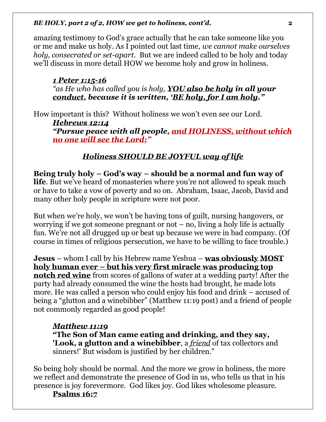amazing testimony to God's grace actually that he can take someone like you or me and make us holy. As I pointed out last time, *we cannot make ourselves holy, consecrated or set-apart.* But we are indeed called to be holy and today we'll discuss in more detail HOW we become holy and grow in holiness.

### *1 Peter 1:15-16*

*"as He who has called you is holy, YOU also be holy in all your conduct, because it is written, 'BE holy, for I am holy."* 

How important is this? Without holiness we won't even see our Lord. *Hebrews 12:14 "Pursue peace with all people, and HOLINESS, without which no one will see the Lord;"*

# *Holiness SHOULD BE JOYFUL way of life*

**Being truly holy – God's way – should be a normal and fun way of life**. But we've heard of monasteries where you're not allowed to speak much or have to take a vow of poverty and so on. Abraham, Isaac, Jacob, David and many other holy people in scripture were not poor.

But when we're holy, we won't be having tons of guilt, nursing hangovers, or worrying if we got someone pregnant or not  $-$  no, living a holy life is actually fun. We're not all drugged up or beat up because we were in bad company. (Of course in times of religious persecution, we have to be willing to face trouble.)

**Jesus** – whom I call by his Hebrew name Yeshua – **was obviously MOST holy human ever – but his very first miracle was producing top notch red wine** from scores of gallons of water at a wedding party! After the party had already consumed the wine the hosts had brought, he made lots more. He was called a person who could enjoy his food and drink – accused of being a "glutton and a winebibber" (Matthew 11:19 post) and a friend of people not commonly regarded as good people!

# *Matthew 11:19*

**"The Son of Man came eating and drinking, and they say, 'Look, a glutton and a winebibber**, a *friend* of tax collectors and sinners!' But wisdom is justified by her children."

So being holy should be normal. And the more we grow in holiness, the more we reflect and demonstrate the presence of God in us, who tells us that in his presence is joy forevermore. God likes joy. God likes wholesome pleasure.

# **Psalms 16:7**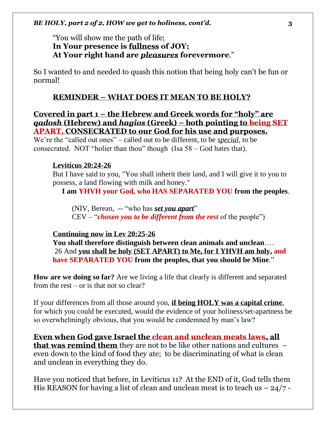### "You will show me the path of life; **In Your presence is fullness of JOY; At Your right hand are** *pleasures* **forevermore**."

So I wanted to and needed to quash this notion that being holy can't be fun or normal!

#### **REMINDER – WHAT DOES IT MEAN TO BE HOLY?**

**Covered in part 1 – the Hebrew and Greek words for "holy" are**  *qadosh* **(Hebrew) and** *hagios* **(Greek) – both pointing to being SET APART, CONSECRATED to our God for his use and purposes.** 

We're the "called out ones" – called out to be different, to be *special*, to be consecrated. NOT "holier than thou" though (Isa 58 – God hates that).

#### **Leviticus 20:24-26**

But I have said to you, "You shall inherit their land, and I will give it to you to possess, a land flowing with milk and honey."

 **I am YHVH your God, who HAS SEPARATED YOU from the peoples**.

(NIV, Berean, -- "who has *set you apart*" CEV – "*chosen you to be different from the rest* of the people")

#### **Continuing now in Lev 20:25-26**

**You shall therefore distinguish between clean animals and unclean**…. 26 And **you shall be holy (SET APART) to Me, for I YHVH am holy, and have SEPARATED YOU from the peoples, that you should be Mine**."

**How are we doing so far?** Are we living a life that clearly is different and separated from the rest – or is that not so clear?

If your differences from all those around you, **if being HOLY was a capital crime**, for which you could be executed, would the evidence of your holiness/set-apartness be so overwhelmingly obvious, that you would be condemned by man's law?

**Even when God gave Israel the clean and unclean meats laws, all that was remind them** they are not to be like other nations and cultures – even down to the kind of food they ate; to be discriminating of what is clean and unclean in everything they do.

Have you noticed that before, in Leviticus 11? At the END of it, God tells them His REASON for having a list of clean and unclean meat is to teach us  $-24/7$  -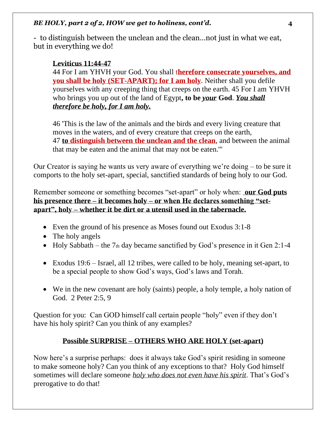- to distinguish between the unclean and the clean…not just in what we eat, but in everything we do!

# **Leviticus 11:44-47**

44 For I am YHVH your God. You shall t**herefore consecrate yourselves, and you shall be holy (SET-APART); for I am holy**. Neither shall you defile yourselves with any creeping thing that creeps on the earth. 45 For I am YHVH who brings you up out of the land of Egypt**, to be** *your* **God**. *You shall therefore be holy, for I am holy.*

46 'This is the law of the animals and the birds and every living creature that moves in the waters, and of every creature that creeps on the earth, 47 **to distinguish between the unclean and the clean**, and between the animal that may be eaten and the animal that may not be eaten.'"

Our Creator is saying he wants us very aware of everything we're doing – to be sure it comports to the holy set-apart, special, sanctified standards of being holy to our God.

Remember someone or something becomes "set-apart" or holy when: **our God puts his presence there – it becomes holy – or when He declares something "setapart", holy – whether it be dirt or a utensil used in the tabernacle.** 

- Even the ground of his presence as Moses found out Exodus 3:1-8
- The holy angels
- Holy Sabbath the 7th day became sanctified by God's presence in it Gen 2:1-4
- Exodus 19:6 Israel, all 12 tribes, were called to be holy, meaning set-apart, to be a special people to show God's ways, God's laws and Torah.
- We in the new covenant are holy (saints) people, a holy temple, a holy nation of God. 2 Peter 2:5, 9

Question for you: Can GOD himself call certain people "holy" even if they don't have his holy spirit? Can you think of any examples?

# **Possible SURPRISE – OTHERS WHO ARE HOLY (set-apart)**

Now here's a surprise perhaps: does it always take God's spirit residing in someone to make someone holy? Can you think of any exceptions to that? Holy God himself sometimes will declare someone *holy who does not even have his spirit*. That's God's prerogative to do that!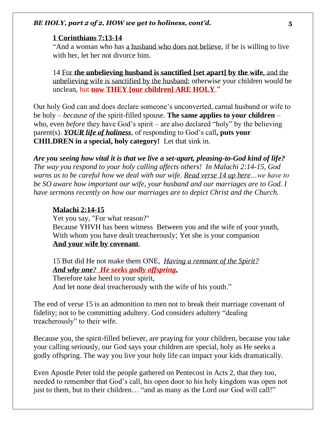#### **1 Corinthians 7:13-14**

"And a woman who has a husband who does not believe, if he is willing to live with her, let her not divorce him.

14 For **the unbelieving husband is sanctified [set apart] by the wife**, and the unbelieving wife is sanctified by the husband; otherwise your children would be unclean, but **now THEY [our children] ARE HOLY**."

Our holy God can and does declare someone's unconverted, carnal husband or wife to be holy – *because of* the spirit-filled spouse. **The same applies to your children** – who, even *before* they have God's spirit – are also declared "holy" by the believing parent(s). *YOUR life of holiness*, of responding to God's call**, puts your CHILDREN in a special, holy category!** Let that sink in.

*Are you seeing how vital it is that we live a set-apart, pleasing-to-God kind of life? The way you respond to your holy calling affects others! In Malachi 2:14-15, God warns us to be careful how we deal with our wife. Read verse 14 up here…we have to be SO aware how important our wife, your husband and our marriages are to God. I have sermons recently on how our marriages are to depict Christ and the Church.* 

#### **Malachi 2:14-15**

Yet you say, "For what reason?" Because YHVH has been witness Between you and the wife of your youth, With whom you have dealt treacherously; Yet she is your companion **And your wife by covenant**.

15 But did He not make them ONE, *Having a remnant of the Spirit? And why one? He seeks godly offspring.*

Therefore take heed to your spirit, And let none deal treacherously with the wife of his youth."

The end of verse 15 is an admonition to men not to break their marriage covenant of fidelity; not to be committing adultery. God considers adultery "dealing treacherously" to their wife.

Because you, the spirit-filled believer, are praying for your children, because you take your calling seriously, our God says your children are special, holy as He seeks a godly offspring. The way you live your holy life can impact your kids dramatically.

Even Apostle Peter told the people gathered on Pentecost in Acts 2, that they too, needed to remember that God's call, his open door to his holy kingdom was open not just to them, but to their children… "and as many as the Lord *our* God will call!"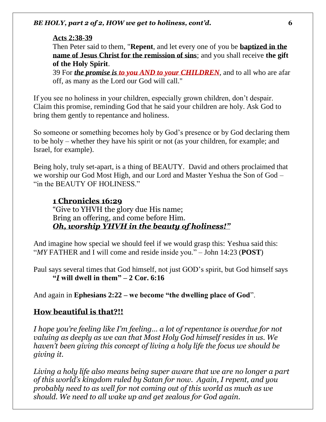#### **Acts 2:38-39**

Then Peter said to them, "**Repent**, and let every one of you be **baptized in the name of Jesus Christ for the remission of sins**; and you shall receive **the gift of the Holy Spirit**.

39 For *the promise is to you AND to your CHILDREN*, and to all who are afar off, as many as the Lord our God will call."

If you see no holiness in your children, especially grown children, don't despair. Claim this promise, reminding God that he said your children are holy. Ask God to bring them gently to repentance and holiness.

So someone or something becomes holy by God's presence or by God declaring them to be holy – whether they have his spirit or not (as your children, for example; and Israel, for example).

Being holy, truly set-apart, is a thing of BEAUTY. David and others proclaimed that we worship our God Most High, and our Lord and Master Yeshua the Son of God – "in the BEAUTY OF HOLINESS."

# **1 Chronicles 16:29**

"Give to YHVH the glory due His name; Bring an offering, and come before Him. *Oh, worship YHVH in the beauty of holiness!"*

And imagine how special we should feel if we would grasp this: Yeshua said this: "*MY* FATHER and I will come and reside inside you." – John 14:23 (**POST**)

Paul says several times that God himself, not just GOD's spirit, but God himself says **"***I* **will dwell in them" – 2 Cor. 6:16** 

And again in **Ephesians 2:22 – we become "the dwelling place of God**".

#### **How beautiful is that?!!**

*I hope you're feeling like I'm feeling... a lot of repentance is overdue for not valuing as deeply as we can that Most Holy God himself resides in us. We haven't been giving this concept of living a holy life the focus we should be giving it.*

*Living a holy life also means being super aware that we are no longer a part of this world's kingdom ruled by Satan for now. Again, I repent, and you probably need to as well for not coming out of this world as much as we should. We need to all wake up and get zealous for God again.*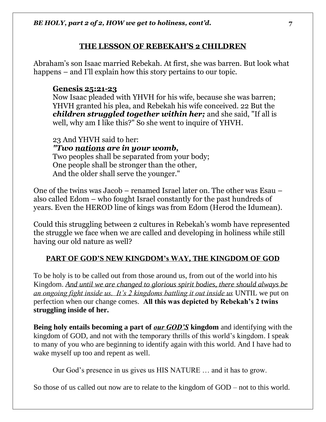# **THE LESSON OF REBEKAH'S 2 CHILDREN**

Abraham's son Isaac married Rebekah. At first, she was barren. But look what happens – and I'll explain how this story pertains to our topic.

# **Genesis 25:21-23**

Now Isaac pleaded with YHVH for his wife, because she was barren; YHVH granted his plea, and Rebekah his wife conceived. 22 But the *children struggled together within her;* and she said, "If all is well, why am I like this?" So she went to inquire of YHVH.

23 And YHVH said to her: *"Two nations are in your womb,* Two peoples shall be separated from your body; One people shall be stronger than the other, And the older shall serve the younger."

One of the twins was Jacob – renamed Israel later on. The other was Esau – also called Edom – who fought Israel constantly for the past hundreds of years. Even the HEROD line of kings was from Edom (Herod the Idumean).

Could this struggling between 2 cultures in Rebekah's womb have represented the struggle we face when we are called and developing in holiness while still having our old nature as well?

# **PART OF GOD'S NEW KINGDOM's WAY, THE KINGDOM OF GOD**

To be holy is to be called out from those around us, from out of the world into his Kingdom. *And until we are changed to glorious spirit bodies, there should always be an ongoing fight inside us. It's 2 kingdoms battling it out inside us* UNTIL we put on perfection when our change comes. **All this was depicted by Rebekah's 2 twins struggling inside of her.**

**Being holy entails becoming a part of** *our GOD'S* **kingdom** and identifying with the kingdom of GOD, and not with the temporary thrills of this world's kingdom. I speak to many of you who are beginning to identify again with this world. And I have had to wake myself up too and repent as well.

Our God's presence in us gives us HIS NATURE … and it has to grow.

So those of us called out now are to relate to the kingdom of GOD – not to this world.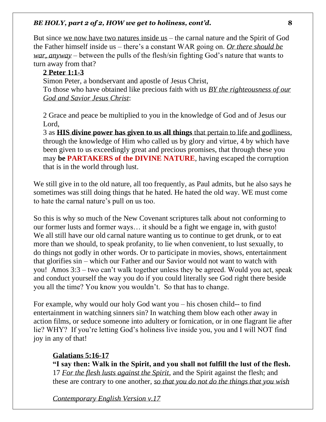But since we now have two natures inside us – the carnal nature and the Spirit of God the Father himself inside us – there's a constant WAR going on. *Or there should be war, anyway* – between the pulls of the flesh/sin fighting God's nature that wants to turn away from that?

# **2 Peter 1:1-3**

Simon Peter, a bondservant and apostle of Jesus Christ,

To those who have obtained like precious faith with us *BY the righteousness of our God and Savior Jesus Christ*:

2 Grace and peace be multiplied to you in the knowledge of God and of Jesus our Lord,

3 as **HIS divine power has given to us all things** that pertain to life and godliness, through the knowledge of Him who called us by glory and virtue, 4 by which have been given to us exceedingly great and precious promises, that through these you may **be PARTAKERS of the DIVINE NATURE**, having escaped the corruption that is in the world through lust.

We still give in to the old nature, all too frequently, as Paul admits, but he also says he sometimes was still doing things that he hated. He hated the old way. WE must come to hate the carnal nature's pull on us too.

So this is why so much of the New Covenant scriptures talk about not conforming to our former lusts and former ways… it should be a fight we engage in, with gusto! We all still have our old carnal nature wanting us to continue to get drunk, or to eat more than we should, to speak profanity, to lie when convenient, to lust sexually, to do things not godly in other words. Or to participate in movies, shows, entertainment that glorifies sin – which our Father and our Savior would not want to watch with you! Amos 3:3 – two can't walk together unless they be agreed. Would you act, speak and conduct yourself the way you do if you could literally see God right there beside you all the time? You know you wouldn't. So that has to change.

For example, why would our holy God want you – his chosen child-- to find entertainment in watching sinners sin? In watching them blow each other away in action films, or seduce someone into adultery or fornication, or in one flagrant lie after lie? WHY? If you're letting God's holiness live inside you, you and I will NOT find joy in any of that!

# **Galatians 5:16-17**

**"I say then: Walk in the Spirit, and you shall not fulfill the lust of the flesh.**  17 *For the flesh lusts against the Spirit*, and the Spirit against the flesh; and these are contrary to one another, *so that you do not do the things that you wish*

*Contemporary English Version v.17*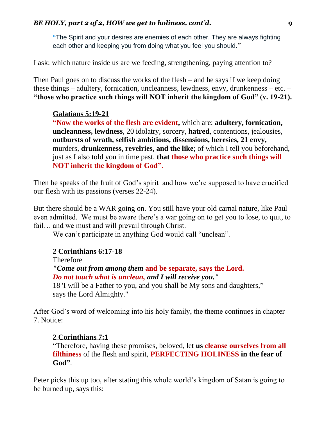**"**The Spirit and your desires are enemies of each other. They are always fighting each other and keeping you from doing what you feel you should."

I ask: which nature inside us are we feeding, strengthening, paying attention to?

Then Paul goes on to discuss the works of the flesh – and he says if we keep doing these things – adultery, fornication, uncleanness, lewdness, envy, drunkenness – etc. – **"those who practice such things will NOT inherit the kingdom of God" (v. 19-21).**

# **Galatians 5:19-21**

**"Now the works of the flesh are evident,** which are: **adultery, fornication, uncleanness, lewdness**, 20 idolatry, sorcery, **hatred**, contentions, jealousies, **outbursts of wrath, selfish ambitions, dissensions, heresies, 21 envy,** murders, **drunkenness, revelries, and the like**; of which I tell you beforehand, just as I also told you in time past, **that those who practice such things will NOT inherit the kingdom of God"**.

Then he speaks of the fruit of God's spirit and how we're supposed to have crucified our flesh with its passions (verses 22-24).

But there should be a WAR going on. You still have your old carnal nature, like Paul even admitted. We must be aware there's a war going on to get you to lose, to quit, to fail… and we must and will prevail through Christ.

We can't participate in anything God would call "unclean".

# **2 Corinthians 6:17-18**

Therefore *"Come out from among them* **and be separate, says the Lord.** *Do not touch what is unclean, and I will receive you."*  18 'I will be a Father to you, and you shall be My sons and daughters," says the Lord Almighty."

After God's word of welcoming into his holy family, the theme continues in chapter 7. Notice:

# **2 Corinthians 7:1**

"Therefore, having these promises, beloved, let **us cleanse ourselves from all filthiness** of the flesh and spirit, **PERFECTING HOLINESS in the fear of God"**.

Peter picks this up too, after stating this whole world's kingdom of Satan is going to be burned up, says this: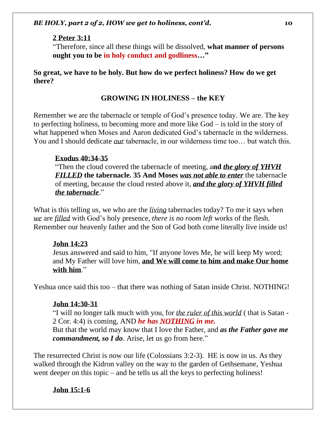#### **2 Peter 3:11**

"Therefore, since all these things will be dissolved, **what manner of persons ought you to be in holy conduct and godliness…"**

**So great, we have to be holy. But how do we perfect holiness? How do we get there?** 

### **GROWING IN HOLINESS – the KEY**

Remember we are the tabernacle or temple of God's presence today. We are. The key to perfecting holiness, to becoming more and more like God – is told in the story of what happened when Moses and Aaron dedicated God's tabernacle in the wilderness. You and I should dedicate *our* tabernacle, in our wilderness time too... but watch this.

### **Exodus 40:34-35**

"Then the cloud covered the tabernacle of meeting, a**nd** *the glory of YHVH FILLED* **the tabernacle. 35 And Moses** *was not able to enter* the tabernacle of meeting, because the cloud rested above it, *and the glory of YHVH filled the tabernacle*."

What is this telling us, we who are the *living* tabernacles today? To me it says when *we* are *filled* with God's holy presence, *there is no room left* works of the flesh. Remember our heavenly father and the Son of God both come literally live inside us!

### **John 14:23**

Jesus answered and said to him, "If anyone loves Me, he will keep My word; and My Father will love him, **and We will come to him and make Our home with him**."

Yeshua once said this too – that there was nothing of Satan inside Christ. NOTHING!

### **John 14:30-31**

"I will no longer talk much with you, for *the ruler of this world* ( that is Satan - 2 Cor. 4:4) is coming, AND *he has NOTHING in me.*

But that the world may know that I love the Father, and *as the Father gave me commandment, so I do*. Arise, let us go from here."

The resurrected Christ is now our life (Colossians 3:2-3). HE is now in us. As they walked through the Kidron valley on the way to the garden of Gethsemane, Yeshua went deeper on this topic – and he tells us all the keys to perfecting holiness!

# **John 15:1-6**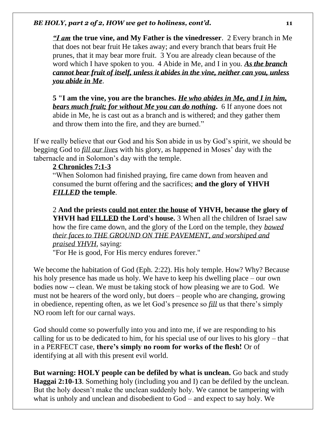*"I am* **the true vine, and My Father is the vinedresser**. 2 Every branch in Me that does not bear fruit He takes away; and every branch that bears fruit He prunes, that it may bear more fruit. 3 You are already clean because of the word which I have spoken to you. 4 Abide in Me, and I in you. *As the branch cannot bear fruit of itself, unless it abides in the vine, neither can you, unless you abide in Me*.

**5 "I am the vine, you are the branches.** *He who abides in Me, and I in him, bears much fruit; for without Me you can do nothing***.** 6 If anyone does not abide in Me, he is cast out as a branch and is withered; and they gather them and throw them into the fire, and they are burned."

If we really believe that our God and his Son abide in us by God's spirit, we should be begging God to *fill our lives* with his glory, as happened in Moses' day with the tabernacle and in Solomon's day with the temple.

#### **2 Chronicles 7:1-3**

"When Solomon had finished praying, fire came down from heaven and consumed the burnt offering and the sacrifices; **and the glory of YHVH** *FILLED* **the temple**.

2 **And the priests could not enter the house of YHVH, because the glory of YHVH had FILLED the Lord's house.** 3 When all the children of Israel saw how the fire came down, and the glory of the Lord on the temple, they *bowed their faces to THE GROUND ON THE PAVEMENT, and worshiped and praised YHVH,* saying:

"For He is good, For His mercy endures forever."

We become the habitation of God (Eph. 2:22). His holy temple. How? Why? Because his holy presence has made us holy. We have to keep his dwelling place – our own bodies now -- clean. We must be taking stock of how pleasing we are to God. We must not be hearers of the word only, but doers – people who are changing, growing in obedience, repenting often, as we let God's presence so *fill* us that there's simply NO room left for our carnal ways.

God should come so powerfully into you and into me, if we are responding to his calling for us to be dedicated to him, for his special use of our lives to his glory – that in a PERFECT case, **there's simply no room for works of the flesh!** Or of identifying at all with this present evil world.

**But warning: HOLY people can be defiled by what is unclean.** Go back and study **Haggai 2:10-13**. Something holy (including you and I) can be defiled by the unclean. But the holy doesn't make the unclean suddenly holy. We cannot be tampering with what is unholy and unclean and disobedient to God – and expect to say holy. We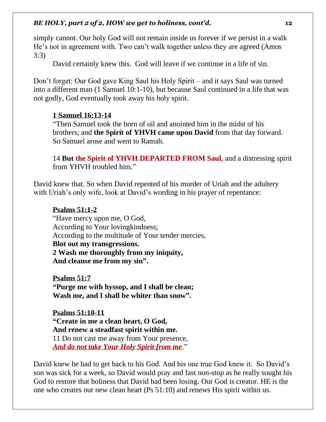simply cannot. Our holy God will not remain inside us forever if we persist in a walk He's not in agreement with. Two can't walk together unless they are agreed (Amos 3:3)

David certainly knew this. God will leave if we continue in a life of sin.

Don't forget: Our God gave King Saul his Holy Spirit – and it says Saul was turned into a different man (1 Samuel 10:1-10), but because Saul continued in a life that was not godly, God eventually took away his holy spirit.

### **1 Samuel 16:13-14**

"Then Samuel took the horn of oil and anointed him in the midst of his brothers; and **the Spirit of YHVH came upon David** from that day forward. So Samuel arose and went to Ramah.

14 **But the Spirit of YHVH DEPARTED FROM Saul**, and a distressing spirit from YHVH troubled him."

David knew that. So when David repented of his murder of Uriah and the adultery with Uriah's only wife, look at David's wording in his prayer of repentance:

#### **Psalms 51:1-2**

"Have mercy upon me, O God, According to Your lovingkindness; According to the multitude of Your tender mercies, **Blot out my transgressions. 2 Wash me thoroughly from my iniquity, And cleanse me from my sin".** 

**Psalms 51:7 "Purge me with hyssop, and I shall be clean; Wash me, and I shall be whiter than snow".**

**Psalms 51:10-11 "Create in me a clean heart, O God, And renew a steadfast spirit within me.**  11 Do not cast me away from Your presence, *And do not take Your Holy Spirit from me*."

David knew he had to get back to his God. And his one true God knew it. So David's son was sick for a week, so David would pray and fast non-stop as he really sought his God to restore that holiness that David had been losing. Our God is creator. HE is the one who creates our new clean heart (Ps 51:10) and renews His spirit within us.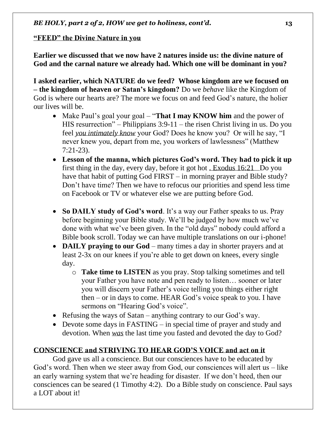# **"FEED" the Divine Nature in you**

**Earlier we discussed that we now have 2 natures inside us: the divine nature of God and the carnal nature we already had. Which one will be dominant in you?** 

**I asked earlier, which NATURE do we feed? Whose kingdom are we focused on – the kingdom of heaven or Satan's kingdom?** Do we *behave* like the Kingdom of God is where our hearts are? The more we focus on and feed God's nature, the holier our lives will be.

- Make Paul's goal your goal "**That I may KNOW him** and the power of HIS resurrection" – Philippians 3:9-11 – the risen Christ living in us. Do you feel *you intimately know* your God? Does he know you? Or will he say, "I never knew you, depart from me, you workers of lawlessness" (Matthew 7:21-23).
- **Lesson of the manna, which pictures God's word. They had to pick it up**  first thing in the day, every day, before it got hot . Exodus 16:21 Do you have that habit of putting God FIRST – in morning prayer and Bible study? Don't have time? Then we have to refocus our priorities and spend less time on Facebook or TV or whatever else we are putting before God.
- **So DAILY study of God's word**. It's a way our Father speaks to us. Pray before beginning your Bible study. We'll be judged by how much we've done with what we've been given. In the "old days" nobody could afford a Bible book scroll. Today we can have multiple translations on our i-phone!
- **DAILY praying to our God** many times a day in shorter prayers and at least 2-3x on our knees if you're able to get down on knees, every single day.
	- o **Take time to LISTEN** as you pray. Stop talking sometimes and tell your Father you have note and pen ready to listen… sooner or later you will discern your Father's voice telling you things either right then – or in days to come. HEAR God's voice speak to you. I have sermons on "Hearing God's voice".
- Refusing the ways of Satan anything contrary to our God's way.
- Devote some days in FASTING in special time of prayer and study and devotion. When *was* the last time you fasted and devoted the day to God?

# **CONSCIENCE and STRIVING TO HEAR GOD'S VOICE and act on it**

God gave us all a conscience. But our consciences have to be educated by God's word. Then when we steer away from God, our consciences will alert us – like an early warning system that we're heading for disaster. If we don't heed, then our consciences can be seared (1 Timothy 4:2). Do a Bible study on conscience. Paul says a LOT about it!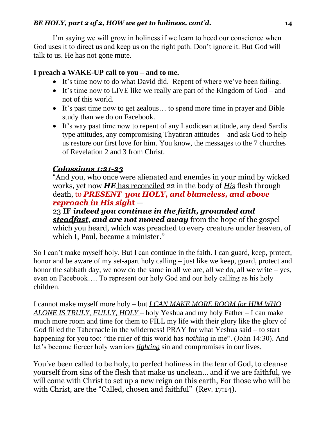I'm saying we will grow in holiness if we learn to heed our conscience when God uses it to direct us and keep us on the right path. Don't ignore it. But God will talk to us. He has not gone mute.

# **I preach a WAKE-UP call to you – and to me.**

- It's time now to do what David did. Repent of where we've been failing.
- It's time now to LIVE like we really are part of the Kingdom of God and not of this world.
- It's past time now to get zealous... to spend more time in prayer and Bible study than we do on Facebook.
- It's way past time now to repent of any Laodicean attitude, any dead Sardis type attitudes, any compromising Thyatiran attitudes – and ask God to help us restore our first love for him. You know, the messages to the 7 churches of Revelation 2 and 3 from Christ.

# *Colossians 1:21-23*

"And you, who once were alienated and enemies in your mind by wicked works, yet now *HE* has reconciled 22 in the body of *His* flesh through death, to *PRESENT you HOLY, and blameless, and above reproach in His sigh***t** —

23 **IF** *indeed you continue in the faith, grounded and steadfast*, *and are not moved away* from the hope of the gospel which you heard, which was preached to every creature under heaven, of which I, Paul, became a minister."

So I can't make myself holy. But I can continue in the faith. I can guard, keep, protect, honor and be aware of my set-apart holy calling – just like we keep, guard, protect and honor the sabbath day, we now do the same in all we are, all we do, all we write – yes, even on Facebook…. To represent our holy God and our holy calling as his holy children.

I cannot make myself more holy – but *I CAN MAKE MORE ROOM for HIM WHO ALONE IS TRULY, FULLY, HOLY* – holy Yeshua and my holy Father – I can make much more room and time for them to FILL my life with their glory like the glory of God filled the Tabernacle in the wilderness! PRAY for what Yeshua said – to start happening for you too: "the ruler of this world has *nothing* in me". (John 14:30). And let's become fiercer holy warriors *fighting* sin and compromises in our lives.

You've been called to be holy, to perfect holiness in the fear of God, to cleanse yourself from sins of the flesh that make us unclean… and if we are faithful, we will come with Christ to set up a new reign on this earth, For those who will be with Christ, are the "Called, chosen and faithful" (Rev. 17:14).